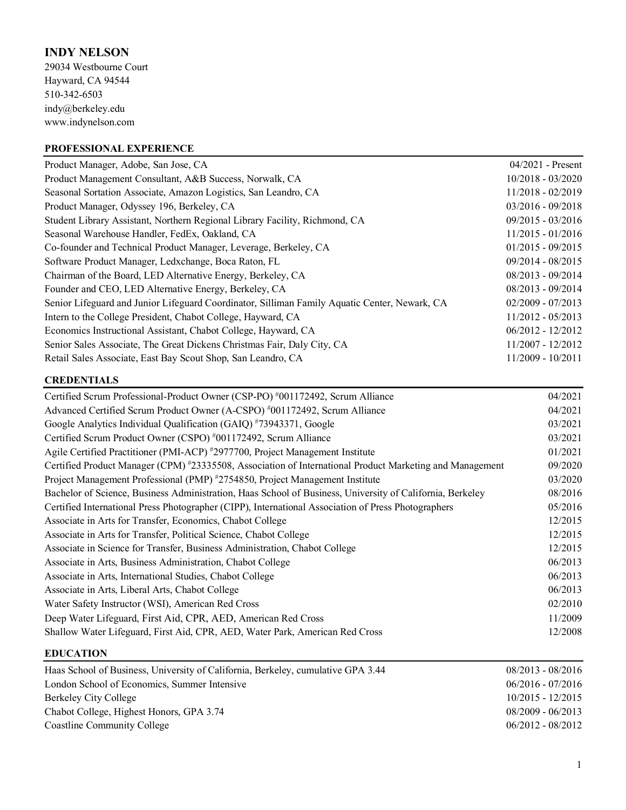# **INDY NELSON**

29034 Westbourne Court Hayward, CA 94544 510-342-6503 indy@berkeley.edu www.indynelson.com

# **PROFESSIONAL EXPERIENCE**

| $04/2021$ - Present |
|---------------------|
| $10/2018 - 03/2020$ |
| $11/2018 - 02/2019$ |
| $03/2016 - 09/2018$ |
| 09/2015 - 03/2016   |
| $11/2015 - 01/2016$ |
| $01/2015 - 09/2015$ |
| $09/2014 - 08/2015$ |
| 08/2013 - 09/2014   |
| $08/2013 - 09/2014$ |
| $02/2009 - 07/2013$ |
| $11/2012 - 05/2013$ |
| $06/2012 - 12/2012$ |
| 11/2007 - 12/2012   |
| $11/2009 - 10/2011$ |
|                     |

## **CREDENTIALS**

| Certified Scrum Professional-Product Owner (CSP-PO) #001172492, Scrum Alliance                            | 04/2021 |
|-----------------------------------------------------------------------------------------------------------|---------|
| Advanced Certified Scrum Product Owner (A-CSPO) #001172492, Scrum Alliance                                | 04/2021 |
| Google Analytics Individual Qualification (GAIQ) #73943371, Google                                        | 03/2021 |
| Certified Scrum Product Owner (CSPO) #001172492, Scrum Alliance                                           | 03/2021 |
| Agile Certified Practitioner (PMI-ACP) #2977700, Project Management Institute                             | 01/2021 |
| Certified Product Manager (CPM) #23335508, Association of International Product Marketing and Management  | 09/2020 |
| Project Management Professional (PMP) #2754850, Project Management Institute                              | 03/2020 |
| Bachelor of Science, Business Administration, Haas School of Business, University of California, Berkeley | 08/2016 |
| Certified International Press Photographer (CIPP), International Association of Press Photographers       | 05/2016 |
| Associate in Arts for Transfer, Economics, Chabot College                                                 | 12/2015 |
| Associate in Arts for Transfer, Political Science, Chabot College                                         | 12/2015 |
| Associate in Science for Transfer, Business Administration, Chabot College                                | 12/2015 |
| Associate in Arts, Business Administration, Chabot College                                                | 06/2013 |
| Associate in Arts, International Studies, Chabot College                                                  | 06/2013 |
| Associate in Arts, Liberal Arts, Chabot College                                                           | 06/2013 |
| Water Safety Instructor (WSI), American Red Cross                                                         | 02/2010 |
| Deep Water Lifeguard, First Aid, CPR, AED, American Red Cross                                             | 11/2009 |
| Shallow Water Lifeguard, First Aid, CPR, AED, Water Park, American Red Cross                              | 12/2008 |
|                                                                                                           |         |

### **EDUCATION**

| Haas School of Business, University of California, Berkeley, cumulative GPA 3.44 | $08/2013 - 08/2016$ |
|----------------------------------------------------------------------------------|---------------------|
| London School of Economics, Summer Intensive                                     | $06/2016 - 07/2016$ |
| Berkeley City College                                                            | $10/2015 - 12/2015$ |
| Chabot College, Highest Honors, GPA 3.74                                         | $08/2009 - 06/2013$ |
| Coastline Community College                                                      | $06/2012 - 08/2012$ |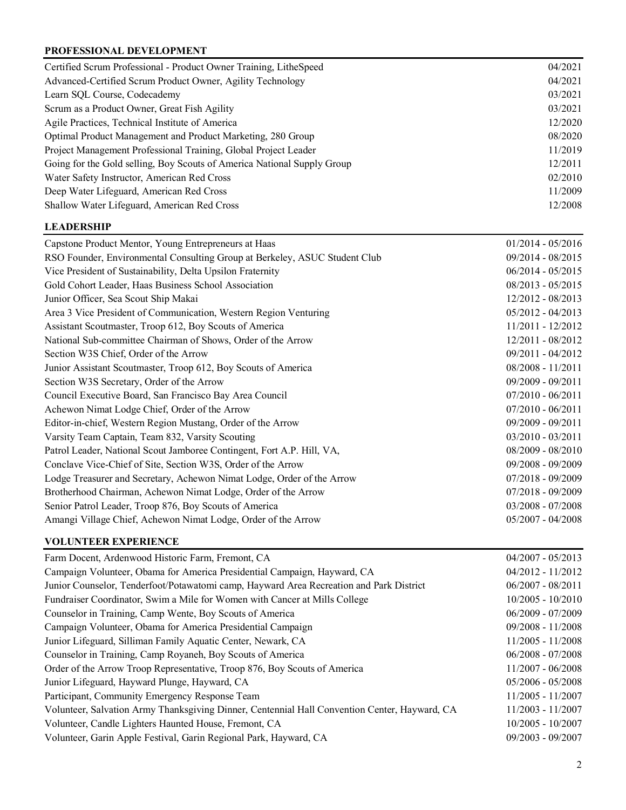### **PROFESSIONAL DEVELOPMENT**

| Certified Scrum Professional - Product Owner Training, LitheSpeed          | 04/2021             |
|----------------------------------------------------------------------------|---------------------|
| Advanced-Certified Scrum Product Owner, Agility Technology                 | 04/2021             |
| Learn SQL Course, Codecademy                                               | 03/2021             |
| Scrum as a Product Owner, Great Fish Agility                               | 03/2021             |
| Agile Practices, Technical Institute of America                            | 12/2020             |
| Optimal Product Management and Product Marketing, 280 Group                | 08/2020             |
| Project Management Professional Training, Global Project Leader            | 11/2019             |
| Going for the Gold selling, Boy Scouts of America National Supply Group    | 12/2011             |
| Water Safety Instructor, American Red Cross                                | 02/2010             |
| Deep Water Lifeguard, American Red Cross                                   | 11/2009             |
| Shallow Water Lifeguard, American Red Cross                                | 12/2008             |
| <b>LEADERSHIP</b>                                                          |                     |
| Capstone Product Mentor, Young Entrepreneurs at Haas                       | $01/2014 - 05/2016$ |
| RSO Founder, Environmental Consulting Group at Berkeley, ASUC Student Club | 09/2014 - 08/2015   |
| Vice President of Sustainability, Delta Upsilon Fraternity                 | $06/2014 - 05/2015$ |
| Gold Cohort Leader, Haas Business School Association                       | $08/2013 - 05/2015$ |
| Junior Officer, Sea Scout Ship Makai                                       | 12/2012 - 08/2013   |
| Area 3 Vice President of Communication, Western Region Venturing           | $05/2012 - 04/2013$ |
| Assistant Scoutmaster, Troop 612, Boy Scouts of America                    | 11/2011 - 12/2012   |
| National Sub-committee Chairman of Shows, Order of the Arrow               | 12/2011 - 08/2012   |
| Section W3S Chief, Order of the Arrow                                      | 09/2011 - 04/2012   |
| Junior Assistant Scoutmaster, Troop 612, Boy Scouts of America             | 08/2008 - 11/2011   |
| Section W3S Secretary, Order of the Arrow                                  | 09/2009 - 09/2011   |
| Council Executive Board, San Francisco Bay Area Council                    | $07/2010 - 06/2011$ |
| Achewon Nimat Lodge Chief, Order of the Arrow                              | $07/2010 - 06/2011$ |
| Editor-in-chief, Western Region Mustang, Order of the Arrow                | 09/2009 - 09/2011   |
| Varsity Team Captain, Team 832, Varsity Scouting                           | 03/2010 - 03/2011   |
| Patrol Leader, National Scout Jamboree Contingent, Fort A.P. Hill, VA,     | 08/2009 - 08/2010   |
| Conclave Vice-Chief of Site, Section W3S, Order of the Arrow               | 09/2008 - 09/2009   |
| Lodge Treasurer and Secretary, Achewon Nimat Lodge, Order of the Arrow     | 07/2018 - 09/2009   |

Senior Patrol Leader, Troop 876, Boy Scouts of America 03/2008 - 07/2008 Amangi Village Chief, Achewon Nimat Lodge, Order of the Arrow 05/2007 - 04/2008

Brotherhood Chairman, Achewon Nimat Lodge, Order of the Arrow 07/2018 - 09/2009

## **VOLUNTEER EXPERIENCE**

| Farm Docent, Ardenwood Historic Farm, Fremont, CA                                             | $04/2007 - 05/2013$ |
|-----------------------------------------------------------------------------------------------|---------------------|
| Campaign Volunteer, Obama for America Presidential Campaign, Hayward, CA                      | $04/2012 - 11/2012$ |
| Junior Counselor, Tenderfoot/Potawatomi camp, Hayward Area Recreation and Park District       | $06/2007 - 08/2011$ |
| Fundraiser Coordinator, Swim a Mile for Women with Cancer at Mills College                    | $10/2005 - 10/2010$ |
| Counselor in Training, Camp Wente, Boy Scouts of America                                      | $06/2009 - 07/2009$ |
| Campaign Volunteer, Obama for America Presidential Campaign                                   | $09/2008 - 11/2008$ |
| Junior Lifeguard, Silliman Family Aquatic Center, Newark, CA                                  | $11/2005 - 11/2008$ |
| Counselor in Training, Camp Royaneh, Boy Scouts of America                                    | $06/2008 - 07/2008$ |
| Order of the Arrow Troop Representative, Troop 876, Boy Scouts of America                     | $11/2007 - 06/2008$ |
| Junior Lifeguard, Hayward Plunge, Hayward, CA                                                 | $05/2006 - 05/2008$ |
| Participant, Community Emergency Response Team                                                | 11/2005 - 11/2007   |
| Volunteer, Salvation Army Thanksgiving Dinner, Centennial Hall Convention Center, Hayward, CA | $11/2003 - 11/2007$ |
| Volunteer, Candle Lighters Haunted House, Fremont, CA                                         | $10/2005 - 10/2007$ |
| Volunteer, Garin Apple Festival, Garin Regional Park, Hayward, CA                             | $09/2003 - 09/2007$ |
|                                                                                               |                     |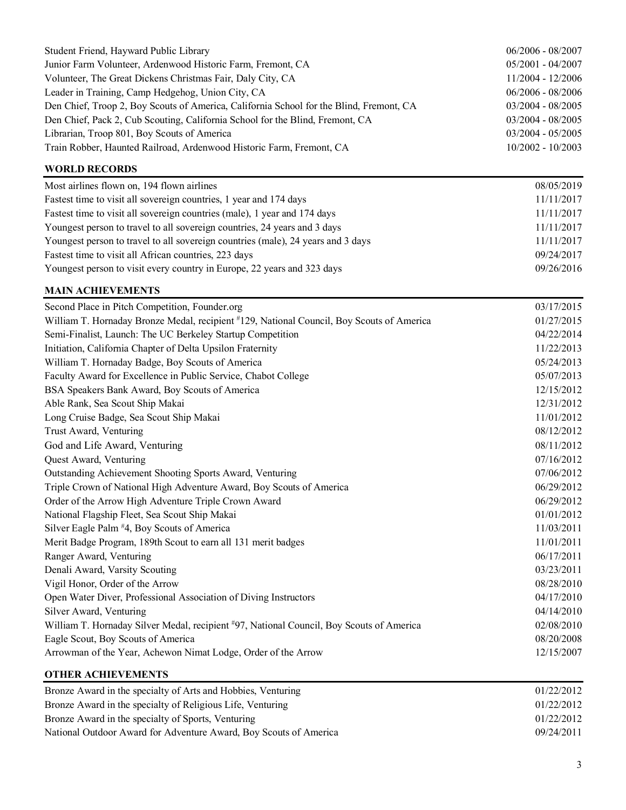| Student Friend, Hayward Public Library                                                    | $06/2006 - 08/2007$ |
|-------------------------------------------------------------------------------------------|---------------------|
| Junior Farm Volunteer, Ardenwood Historic Farm, Fremont, CA                               | $05/2001 - 04/2007$ |
| Volunteer, The Great Dickens Christmas Fair, Daly City, CA                                | 11/2004 - 12/2006   |
| Leader in Training, Camp Hedgehog, Union City, CA                                         | $06/2006 - 08/2006$ |
| Den Chief, Troop 2, Boy Scouts of America, California School for the Blind, Fremont, CA   | 03/2004 - 08/2005   |
| Den Chief, Pack 2, Cub Scouting, California School for the Blind, Fremont, CA             | $03/2004 - 08/2005$ |
| Librarian, Troop 801, Boy Scouts of America                                               | $03/2004 - 05/2005$ |
| Train Robber, Haunted Railroad, Ardenwood Historic Farm, Fremont, CA                      | 10/2002 - 10/2003   |
| <b>WORLD RECORDS</b>                                                                      |                     |
| Most airlines flown on, 194 flown airlines                                                | 08/05/2019          |
| Fastest time to visit all sovereign countries, 1 year and 174 days                        | 11/11/2017          |
| Fastest time to visit all sovereign countries (male), 1 year and 174 days                 | 11/11/2017          |
| Youngest person to travel to all sovereign countries, 24 years and 3 days                 | 11/11/2017          |
| Youngest person to travel to all sovereign countries (male), 24 years and 3 days          | 11/11/2017          |
| Fastest time to visit all African countries, 223 days                                     | 09/24/2017          |
| Youngest person to visit every country in Europe, 22 years and 323 days                   | 09/26/2016          |
| <b>MAIN ACHIEVEMENTS</b>                                                                  |                     |
| Second Place in Pitch Competition, Founder.org                                            | 03/17/2015          |
| William T. Hornaday Bronze Medal, recipient #129, National Council, Boy Scouts of America | 01/27/2015          |
| Semi-Finalist, Launch: The UC Berkeley Startup Competition                                | 04/22/2014          |
| Initiation, California Chapter of Delta Upsilon Fraternity                                | 11/22/2013          |
| William T. Hornaday Badge, Boy Scouts of America                                          | 05/24/2013          |
| Faculty Award for Excellence in Public Service, Chabot College                            | 05/07/2013          |
| BSA Speakers Bank Award, Boy Scouts of America                                            | 12/15/2012          |
| Able Rank, Sea Scout Ship Makai                                                           | 12/31/2012          |
| Long Cruise Badge, Sea Scout Ship Makai                                                   | 11/01/2012          |
| Trust Award, Venturing                                                                    | 08/12/2012          |
| God and Life Award, Venturing                                                             | 08/11/2012          |
| Quest Award, Venturing                                                                    | 07/16/2012          |
| Outstanding Achievement Shooting Sports Award, Venturing                                  | 07/06/2012          |
| Triple Crown of National High Adventure Award, Boy Scouts of America                      | 06/29/2012          |
| Order of the Arrow High Adventure Triple Crown Award                                      | 06/29/2012          |
| National Flagship Fleet, Sea Scout Ship Makai                                             | 01/01/2012          |
| Silver Eagle Palm #4, Boy Scouts of America                                               | 11/03/2011          |
| Merit Badge Program, 189th Scout to earn all 131 merit badges                             | 11/01/2011          |
| Ranger Award, Venturing                                                                   | 06/17/2011          |
| Denali Award, Varsity Scouting                                                            | 03/23/2011          |
| Vigil Honor, Order of the Arrow                                                           | 08/28/2010          |
| Open Water Diver, Professional Association of Diving Instructors                          | 04/17/2010          |
| Silver Award, Venturing                                                                   | 04/14/2010          |
| William T. Hornaday Silver Medal, recipient #97, National Council, Boy Scouts of America  | 02/08/2010          |
| Eagle Scout, Boy Scouts of America                                                        | 08/20/2008          |
| Arrowman of the Year, Achewon Nimat Lodge, Order of the Arrow                             | 12/15/2007          |
| <b>OTHER ACHIEVEMENTS</b>                                                                 |                     |

| Bronze Award in the specialty of Arts and Hobbies, Venturing      | 01/22/2012 |
|-------------------------------------------------------------------|------------|
| Bronze Award in the specialty of Religious Life, Venturing        | 01/22/2012 |
| Bronze Award in the specialty of Sports, Venturing                | 01/22/2012 |
| National Outdoor Award for Adventure Award, Boy Scouts of America | 09/24/2011 |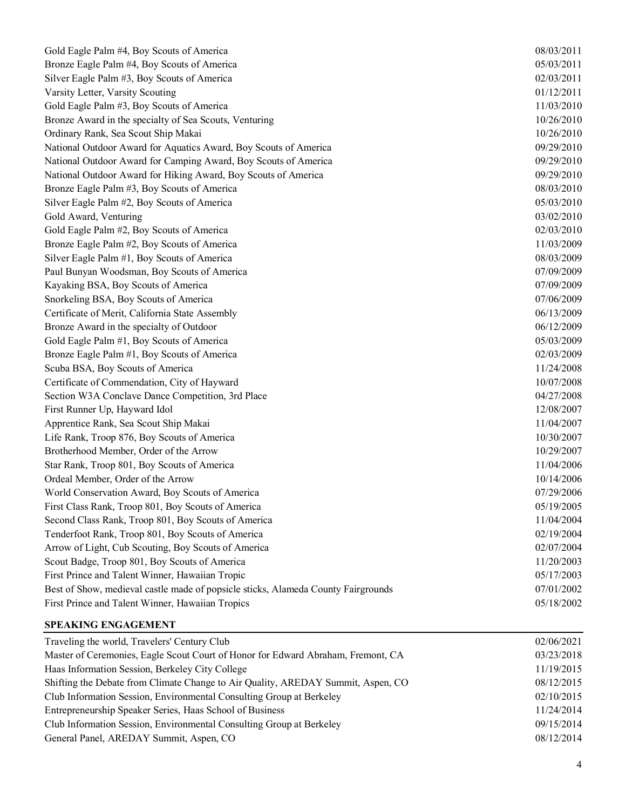| Gold Eagle Palm #4, Boy Scouts of America                                         | 08/03/2011 |
|-----------------------------------------------------------------------------------|------------|
| Bronze Eagle Palm #4, Boy Scouts of America                                       | 05/03/2011 |
| Silver Eagle Palm #3, Boy Scouts of America                                       | 02/03/2011 |
| Varsity Letter, Varsity Scouting                                                  | 01/12/2011 |
| Gold Eagle Palm #3, Boy Scouts of America                                         | 11/03/2010 |
| Bronze Award in the specialty of Sea Scouts, Venturing                            | 10/26/2010 |
| Ordinary Rank, Sea Scout Ship Makai                                               | 10/26/2010 |
| National Outdoor Award for Aquatics Award, Boy Scouts of America                  | 09/29/2010 |
| National Outdoor Award for Camping Award, Boy Scouts of America                   | 09/29/2010 |
| National Outdoor Award for Hiking Award, Boy Scouts of America                    | 09/29/2010 |
| Bronze Eagle Palm #3, Boy Scouts of America                                       | 08/03/2010 |
| Silver Eagle Palm #2, Boy Scouts of America                                       | 05/03/2010 |
| Gold Award, Venturing                                                             | 03/02/2010 |
| Gold Eagle Palm #2, Boy Scouts of America                                         | 02/03/2010 |
| Bronze Eagle Palm #2, Boy Scouts of America                                       | 11/03/2009 |
| Silver Eagle Palm #1, Boy Scouts of America                                       | 08/03/2009 |
| Paul Bunyan Woodsman, Boy Scouts of America                                       | 07/09/2009 |
| Kayaking BSA, Boy Scouts of America                                               | 07/09/2009 |
| Snorkeling BSA, Boy Scouts of America                                             | 07/06/2009 |
| Certificate of Merit, California State Assembly                                   | 06/13/2009 |
| Bronze Award in the specialty of Outdoor                                          | 06/12/2009 |
| Gold Eagle Palm #1, Boy Scouts of America                                         | 05/03/2009 |
| Bronze Eagle Palm #1, Boy Scouts of America                                       | 02/03/2009 |
| Scuba BSA, Boy Scouts of America                                                  | 11/24/2008 |
| Certificate of Commendation, City of Hayward                                      | 10/07/2008 |
| Section W3A Conclave Dance Competition, 3rd Place                                 | 04/27/2008 |
| First Runner Up, Hayward Idol                                                     | 12/08/2007 |
| Apprentice Rank, Sea Scout Ship Makai                                             | 11/04/2007 |
| Life Rank, Troop 876, Boy Scouts of America                                       | 10/30/2007 |
| Brotherhood Member, Order of the Arrow                                            | 10/29/2007 |
| Star Rank, Troop 801, Boy Scouts of America                                       | 11/04/2006 |
| Ordeal Member, Order of the Arrow                                                 | 10/14/2006 |
| World Conservation Award, Boy Scouts of America                                   | 07/29/2006 |
| First Class Rank, Troop 801, Boy Scouts of America                                | 05/19/2005 |
| Second Class Rank, Troop 801, Boy Scouts of America                               | 11/04/2004 |
| Tenderfoot Rank, Troop 801, Boy Scouts of America                                 | 02/19/2004 |
| Arrow of Light, Cub Scouting, Boy Scouts of America                               | 02/07/2004 |
| Scout Badge, Troop 801, Boy Scouts of America                                     | 11/20/2003 |
| First Prince and Talent Winner, Hawaiian Tropic                                   | 05/17/2003 |
| Best of Show, medieval castle made of popsicle sticks, Alameda County Fairgrounds | 07/01/2002 |
| First Prince and Talent Winner, Hawaiian Tropics                                  | 05/18/2002 |
|                                                                                   |            |

## **SPEAKING ENGAGEMENT**

| Traveling the world, Travelers' Century Club                                     | 02/06/2021 |
|----------------------------------------------------------------------------------|------------|
| Master of Ceremonies, Eagle Scout Court of Honor for Edward Abraham, Fremont, CA | 03/23/2018 |
| Haas Information Session, Berkeley City College                                  | 11/19/2015 |
| Shifting the Debate from Climate Change to Air Quality, AREDAY Summit, Aspen, CO | 08/12/2015 |
| Club Information Session, Environmental Consulting Group at Berkeley             | 02/10/2015 |
| Entrepreneurship Speaker Series, Haas School of Business                         | 11/24/2014 |
| Club Information Session, Environmental Consulting Group at Berkeley             | 09/15/2014 |
| General Panel, AREDAY Summit, Aspen, CO                                          | 08/12/2014 |
|                                                                                  |            |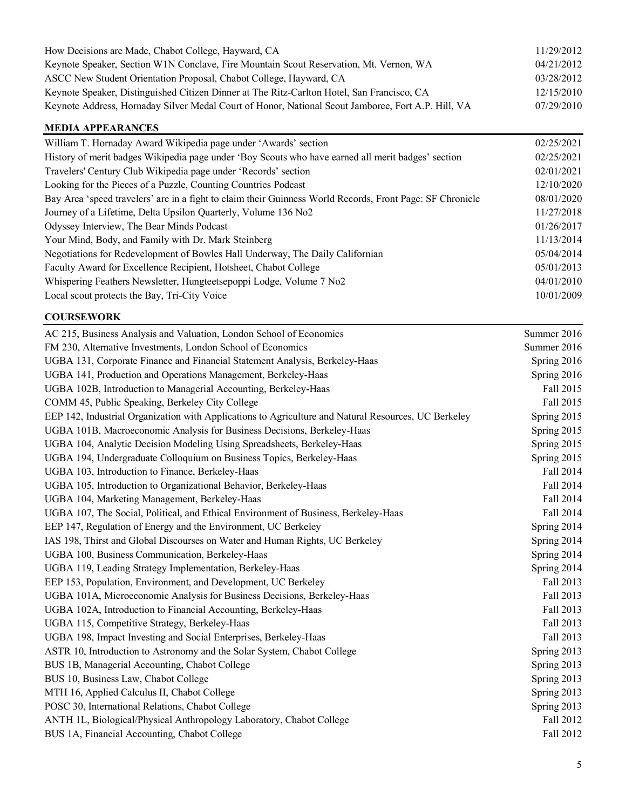| How Decisions are Made, Chabot College, Hayward, CA                                                | 11/29/2012 |
|----------------------------------------------------------------------------------------------------|------------|
| Keynote Speaker, Section W1N Conclave, Fire Mountain Scout Reservation, Mt. Vernon, WA             | 04/21/2012 |
| ASCC New Student Orientation Proposal, Chabot College, Hayward, CA                                 | 03/28/2012 |
| Keynote Speaker, Distinguished Citizen Dinner at The Ritz-Carlton Hotel, San Francisco, CA         | 12/15/2010 |
| Keynote Address, Hornaday Silver Medal Court of Honor, National Scout Jamboree, Fort A.P. Hill, VA | 07/29/2010 |

#### **MEDIA APPEARANCES**

| William T. Hornaday Award Wikipedia page under 'Awards' section                                           | 02/25/2021 |
|-----------------------------------------------------------------------------------------------------------|------------|
| History of merit badges Wikipedia page under 'Boy Scouts who have earned all merit badges' section        | 02/25/2021 |
| Travelers' Century Club Wikipedia page under 'Records' section                                            | 02/01/2021 |
| Looking for the Pieces of a Puzzle, Counting Countries Podcast                                            | 12/10/2020 |
| Bay Area 'speed travelers' are in a fight to claim their Guinness World Records, Front Page: SF Chronicle | 08/01/2020 |
| Journey of a Lifetime, Delta Upsilon Quarterly, Volume 136 No2                                            | 11/27/2018 |
| Odyssey Interview, The Bear Minds Podcast                                                                 | 01/26/2017 |
| Your Mind, Body, and Family with Dr. Mark Steinberg                                                       | 11/13/2014 |
| Negotiations for Redevelopment of Bowles Hall Underway, The Daily Californian                             | 05/04/2014 |
| Faculty Award for Excellence Recipient, Hotsheet, Chabot College                                          | 05/01/2013 |
| Whispering Feathers Newsletter, Hungteetsepoppi Lodge, Volume 7 No2                                       | 04/01/2010 |
| Local scout protects the Bay, Tri-City Voice                                                              | 10/01/2009 |

#### **COURSEWORK**

| AC 215, Business Analysis and Valuation, London School of Economics                                  | Summer 2016 |
|------------------------------------------------------------------------------------------------------|-------------|
| FM 230, Alternative Investments, London School of Economics                                          | Summer 2016 |
| UGBA 131, Corporate Finance and Financial Statement Analysis, Berkeley-Haas                          | Spring 2016 |
| UGBA 141, Production and Operations Management, Berkeley-Haas                                        | Spring 2016 |
| UGBA 102B, Introduction to Managerial Accounting, Berkeley-Haas                                      | Fall 2015   |
| COMM 45, Public Speaking, Berkeley City College                                                      | Fall 2015   |
| EEP 142, Industrial Organization with Applications to Agriculture and Natural Resources, UC Berkeley | Spring 2015 |
| UGBA 101B, Macroeconomic Analysis for Business Decisions, Berkeley-Haas                              | Spring 2015 |
| UGBA 104, Analytic Decision Modeling Using Spreadsheets, Berkeley-Haas                               | Spring 2015 |
| UGBA 194, Undergraduate Colloquium on Business Topics, Berkeley-Haas                                 | Spring 2015 |
| UGBA 103, Introduction to Finance, Berkeley-Haas                                                     | Fall 2014   |
| UGBA 105, Introduction to Organizational Behavior, Berkeley-Haas                                     | Fall 2014   |
| UGBA 104, Marketing Management, Berkeley-Haas                                                        | Fall 2014   |
| UGBA 107, The Social, Political, and Ethical Environment of Business, Berkeley-Haas                  | Fall 2014   |
| EEP 147, Regulation of Energy and the Environment, UC Berkeley                                       | Spring 2014 |
| IAS 198, Thirst and Global Discourses on Water and Human Rights, UC Berkeley                         | Spring 2014 |
| UGBA 100, Business Communication, Berkeley-Haas                                                      | Spring 2014 |
| UGBA 119, Leading Strategy Implementation, Berkeley-Haas                                             | Spring 2014 |
| EEP 153, Population, Environment, and Development, UC Berkeley                                       | Fall 2013   |
| UGBA 101A, Microeconomic Analysis for Business Decisions, Berkeley-Haas                              | Fall 2013   |
| UGBA 102A, Introduction to Financial Accounting, Berkeley-Haas                                       | Fall 2013   |
| UGBA 115, Competitive Strategy, Berkeley-Haas                                                        | Fall 2013   |
| UGBA 198, Impact Investing and Social Enterprises, Berkeley-Haas                                     | Fall 2013   |
| ASTR 10, Introduction to Astronomy and the Solar System, Chabot College                              | Spring 2013 |
| BUS 1B, Managerial Accounting, Chabot College                                                        | Spring 2013 |
| BUS 10, Business Law, Chabot College                                                                 | Spring 2013 |
| MTH 16, Applied Calculus II, Chabot College                                                          | Spring 2013 |
| POSC 30, International Relations, Chabot College                                                     | Spring 2013 |
| ANTH 1L, Biological/Physical Anthropology Laboratory, Chabot College                                 | Fall 2012   |
| BUS 1A, Financial Accounting, Chabot College                                                         | Fall 2012   |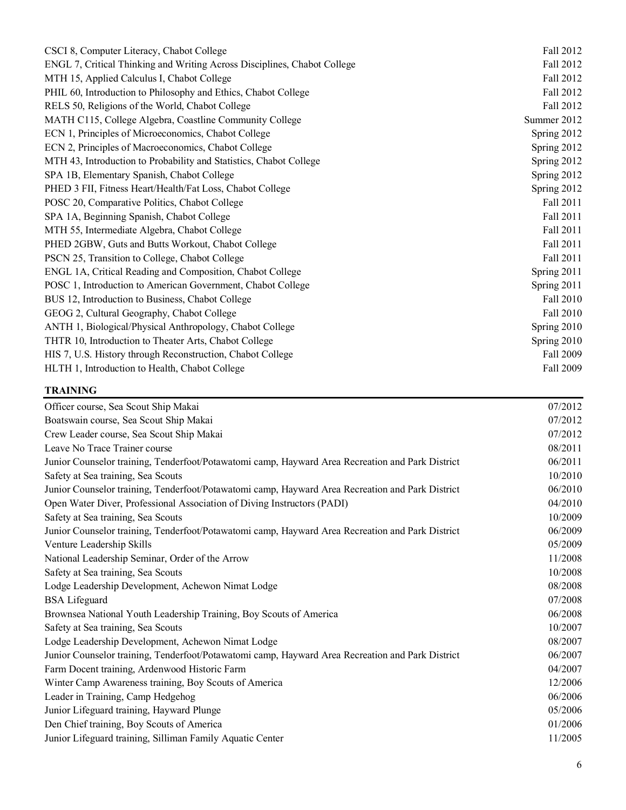| Fall 2012   |
|-------------|
| Fall 2012   |
| Fall 2012   |
| Fall 2012   |
| Fall 2012   |
| Summer 2012 |
| Spring 2012 |
| Spring 2012 |
| Spring 2012 |
| Spring 2012 |
| Spring 2012 |
| Fall 2011   |
| Fall 2011   |
| Fall 2011   |
| Fall 2011   |
| Fall 2011   |
| Spring 2011 |
| Spring 2011 |
| Fall 2010   |
| Fall 2010   |
| Spring 2010 |
| Spring 2010 |
| Fall 2009   |
| Fall 2009   |
|             |

### **TRAINING**

| Officer course, Sea Scout Ship Makai                                                             | 07/2012 |
|--------------------------------------------------------------------------------------------------|---------|
| Boatswain course, Sea Scout Ship Makai                                                           | 07/2012 |
| Crew Leader course, Sea Scout Ship Makai                                                         | 07/2012 |
| Leave No Trace Trainer course                                                                    | 08/2011 |
| Junior Counselor training, Tenderfoot/Potawatomi camp, Hayward Area Recreation and Park District | 06/2011 |
| Safety at Sea training, Sea Scouts                                                               | 10/2010 |
| Junior Counselor training, Tenderfoot/Potawatomi camp, Hayward Area Recreation and Park District | 06/2010 |
| Open Water Diver, Professional Association of Diving Instructors (PADI)                          | 04/2010 |
| Safety at Sea training, Sea Scouts                                                               | 10/2009 |
| Junior Counselor training, Tenderfoot/Potawatomi camp, Hayward Area Recreation and Park District | 06/2009 |
| Venture Leadership Skills                                                                        | 05/2009 |
| National Leadership Seminar, Order of the Arrow                                                  | 11/2008 |
| Safety at Sea training, Sea Scouts                                                               | 10/2008 |
| Lodge Leadership Development, Achewon Nimat Lodge                                                | 08/2008 |
| <b>BSA</b> Lifeguard                                                                             | 07/2008 |
| Brownsea National Youth Leadership Training, Boy Scouts of America                               | 06/2008 |
| Safety at Sea training, Sea Scouts                                                               | 10/2007 |
| Lodge Leadership Development, Achewon Nimat Lodge                                                | 08/2007 |
| Junior Counselor training, Tenderfoot/Potawatomi camp, Hayward Area Recreation and Park District | 06/2007 |
| Farm Docent training, Ardenwood Historic Farm                                                    | 04/2007 |
| Winter Camp Awareness training, Boy Scouts of America                                            | 12/2006 |
| Leader in Training, Camp Hedgehog                                                                | 06/2006 |
| Junior Lifeguard training, Hayward Plunge                                                        | 05/2006 |
| Den Chief training, Boy Scouts of America                                                        | 01/2006 |
| Junior Lifeguard training, Silliman Family Aquatic Center                                        | 11/2005 |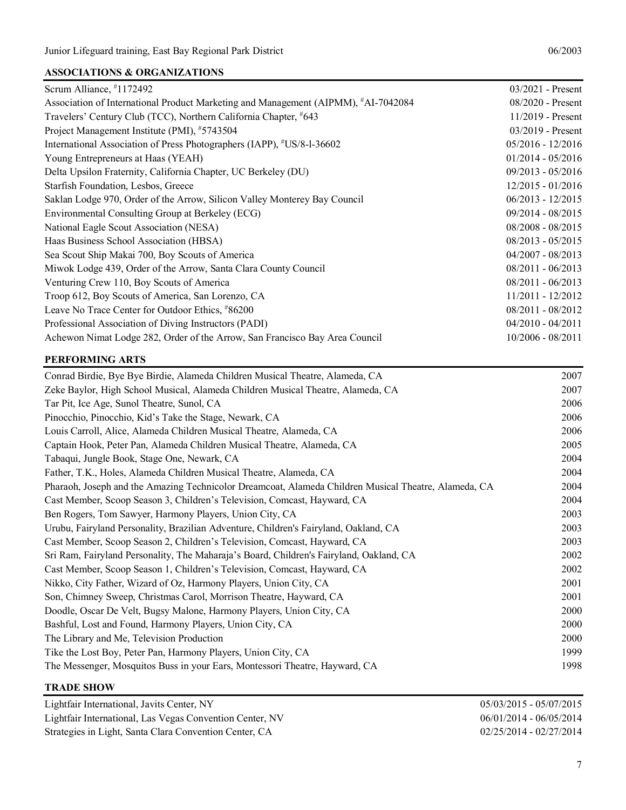## **ASSOCIATIONS & ORGANIZATIONS**

| Scrum Alliance, #1172492                                                           | $03/2021$ - Present |
|------------------------------------------------------------------------------------|---------------------|
| Association of International Product Marketing and Management (AIPMM), #AI-7042084 | $08/2020$ - Present |
| Travelers' Century Club (TCC), Northern California Chapter, #643                   | $11/2019$ - Present |
| Project Management Institute (PMI), #5743504                                       | $03/2019$ - Present |
| International Association of Press Photographers (IAPP), #US/8-1-36602             | $05/2016 - 12/2016$ |
| Young Entrepreneurs at Haas (YEAH)                                                 | $01/2014 - 05/2016$ |
| Delta Upsilon Fraternity, California Chapter, UC Berkeley (DU)                     | 09/2013 - 05/2016   |
| Starfish Foundation, Lesbos, Greece                                                | $12/2015 - 01/2016$ |
| Saklan Lodge 970, Order of the Arrow, Silicon Valley Monterey Bay Council          | $06/2013 - 12/2015$ |
| Environmental Consulting Group at Berkeley (ECG)                                   | 09/2014 - 08/2015   |
| National Eagle Scout Association (NESA)                                            | 08/2008 - 08/2015   |
| Haas Business School Association (HBSA)                                            | $08/2013 - 05/2015$ |
| Sea Scout Ship Makai 700, Boy Scouts of America                                    | $04/2007 - 08/2013$ |
| Miwok Lodge 439, Order of the Arrow, Santa Clara County Council                    | $08/2011 - 06/2013$ |
| Venturing Crew 110, Boy Scouts of America                                          | $08/2011 - 06/2013$ |
| Troop 612, Boy Scouts of America, San Lorenzo, CA                                  | $11/2011 - 12/2012$ |
| Leave No Trace Center for Outdoor Ethics, #86200                                   | 08/2011 - 08/2012   |
| Professional Association of Diving Instructors (PADI)                              | $04/2010 - 04/2011$ |
| Achewon Nimat Lodge 282, Order of the Arrow, San Francisco Bay Area Council        | $10/2006 - 08/2011$ |
|                                                                                    |                     |

### **PERFORMING ARTS**

| Conrad Birdie, Bye Bye Birdie, Alameda Children Musical Theatre, Alameda, CA                         | 2007 |
|------------------------------------------------------------------------------------------------------|------|
| Zeke Baylor, High School Musical, Alameda Children Musical Theatre, Alameda, CA                      | 2007 |
| Tar Pit, Ice Age, Sunol Theatre, Sunol, CA                                                           | 2006 |
| Pinocchio, Pinocchio, Kid's Take the Stage, Newark, CA                                               | 2006 |
| Louis Carroll, Alice, Alameda Children Musical Theatre, Alameda, CA                                  | 2006 |
| Captain Hook, Peter Pan, Alameda Children Musical Theatre, Alameda, CA                               | 2005 |
| Tabaqui, Jungle Book, Stage One, Newark, CA                                                          | 2004 |
| Father, T.K., Holes, Alameda Children Musical Theatre, Alameda, CA                                   | 2004 |
| Pharaoh, Joseph and the Amazing Technicolor Dreamcoat, Alameda Children Musical Theatre, Alameda, CA | 2004 |
| Cast Member, Scoop Season 3, Children's Television, Comcast, Hayward, CA                             | 2004 |
| Ben Rogers, Tom Sawyer, Harmony Players, Union City, CA                                              | 2003 |
| Urubu, Fairyland Personality, Brazilian Adventure, Children's Fairyland, Oakland, CA                 | 2003 |
| Cast Member, Scoop Season 2, Children's Television, Comcast, Hayward, CA                             | 2003 |
| Sri Ram, Fairyland Personality, The Maharaja's Board, Children's Fairyland, Oakland, CA              | 2002 |
| Cast Member, Scoop Season 1, Children's Television, Comcast, Hayward, CA                             | 2002 |
| Nikko, City Father, Wizard of Oz, Harmony Players, Union City, CA                                    | 2001 |
| Son, Chimney Sweep, Christmas Carol, Morrison Theatre, Hayward, CA                                   | 2001 |
| Doodle, Oscar De Velt, Bugsy Malone, Harmony Players, Union City, CA                                 | 2000 |
| Bashful, Lost and Found, Harmony Players, Union City, CA                                             | 2000 |
| The Library and Me, Television Production                                                            | 2000 |
| Tike the Lost Boy, Peter Pan, Harmony Players, Union City, CA                                        | 1999 |
| The Messenger, Mosquitos Buss in your Ears, Montessori Theatre, Hayward, CA                          | 1998 |

## **TRADE SHOW**

| Lightfair International, Javits Center, NY               | 05/03/2015 - 05/07/2015   |
|----------------------------------------------------------|---------------------------|
| Lightfair International, Las Vegas Convention Center, NV | $06/01/2014 - 06/05/2014$ |
| Strategies in Light, Santa Clara Convention Center, CA   | $02/25/2014 - 02/27/2014$ |